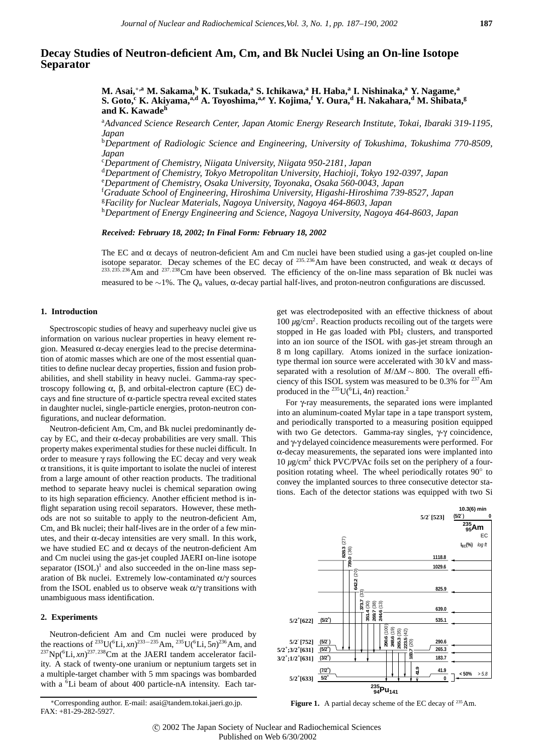# **Decay Studies of Neutron-deficient Am, Cm, and Bk Nuclei Using an On-line Isotope Separator**

**M. Asai,**∗**,a M. Sakama,<sup>b</sup> K. Tsukada,a S. Ichikawa,<sup>a</sup> H. Haba,<sup>a</sup> I. Nishinaka,a Y. Nagame,<sup>a</sup> S. Goto,<sup>c</sup> K. Akiyama,a,d A. Toyoshima,a,e Y. Kojima,<sup>f</sup> Y. Oura,<sup>d</sup> H. Nakahara,<sup>d</sup> M. Shibata,g and K. Kawade<sup>h</sup>**

a *Advanced Science Research Center, Japan Atomic Energy Research Institute, Tokai, Ibaraki 319-1195, Japan*

b *Department of Radiologic Science and Engineering, University of Tokushima, Tokushima 770-8509, Japan*

c *Department of Chemistry, Niigata University, Niigata 950-2181, Japan*

d *Department of Chemistry, Tokyo Metropolitan University, Hachioji, Tokyo 192-0397, Japan*

e *Department of Chemistry, Osaka University, Toyonaka, Osaka 560-0043, Japan*

f *Graduate School of Engineering, Hiroshima University, Higashi-Hiroshima 739-8527, Japan*

<sup>g</sup>*Facility for Nuclear Materials, Nagoya University, Nagoya 464-8603, Japan*

<sup>h</sup>*Department of Energy Engineering and Science, Nagoya University, Nagoya 464-8603, Japan*

*Received: February 18, 2002; In Final Form: February 18, 2002*

The EC and  $\alpha$  decays of neutron-deficient Am and Cm nuclei have been studied using a gas-jet coupled on-line isotope separator. Decay schemes of the EC decay of  $^{235,236}$ Am have been constructed, and weak  $\alpha$  decays of <sup>233</sup>*,* <sup>235</sup>*,* 236Am and <sup>237</sup>*,* 238Cm have been observed. The efficiency of the on-line mass separation of Bk nuclei was measured to be ∼1%. The *Q*<sup>α</sup> values, α-decay partial half-lives, and proton-neutron configurations are discussed.

#### **1. Introduction**

Spectroscopic studies of heavy and superheavy nuclei give us information on various nuclear properties in heavy element region. Measured  $\alpha$ -decay energies lead to the precise determination of atomic masses which are one of the most essential quantities to define nuclear decay properties, fission and fusion probabilities, and shell stability in heavy nuclei. Gamma-ray spectroscopy following α, β, and orbital-electron capture (EC) decays and fine structure of  $\alpha$ -particle spectra reveal excited states in daughter nuclei, single-particle energies, proton-neutron configurations, and nuclear deformation.

Neutron-deficient Am, Cm, and Bk nuclei predominantly decay by EC, and their  $\alpha$ -decay probabilities are very small. This property makes experimental studies for these nuclei difficult. In order to measure γ rays following the EC decay and very weak  $\alpha$  transitions, it is quite important to isolate the nuclei of interest from a large amount of other reaction products. The traditional method to separate heavy nuclei is chemical separation owing to its high separation efficiency. Another efficient method is inflight separation using recoil separators. However, these methods are not so suitable to apply to the neutron-deficient Am, Cm, and Bk nuclei; their half-lives are in the order of a few minutes, and their α-decay intensities are very small. In this work, we have studied EC and  $\alpha$  decays of the neutron-deficient Am and Cm nuclei using the gas-jet coupled JAERI on-line isotope separator  $(ISOL)^1$  and also succeeded in the on-line mass separation of Bk nuclei. Extremely low-contaminated  $\alpha/\gamma$  sources from the ISOL enabled us to observe weak  $\alpha/\gamma$  transitions with unambiguous mass identification.

#### **2. Experiments**

Neutron-deficient Am and Cm nuclei were produced by the reactions of <sup>233</sup>U(<sup>6</sup>Li, *xn*)<sup>233–235</sup>Am, <sup>235</sup>U(<sup>6</sup>Li, 5*n*)<sup>236</sup>Am, and  $^{237}$ Np( $^{6}$ Li,  $xn$ )<sup>237,238</sup>Cm at the JAERI tandem accelerator facility. A stack of twenty-one uranium or neptunium targets set in a multiple-target chamber with 5 mm spacings was bombarded with a <sup>6</sup>Li beam of about 400 particle-nA intensity. Each tar-

get was electrodeposited with an effective thickness of about 100 μg/cm<sup>2</sup>. Reaction products recoiling out of the targets were stopped in He gas loaded with  $PbI<sub>2</sub>$  clusters, and transported into an ion source of the ISOL with gas-jet stream through an 8 m long capillary. Atoms ionized in the surface ionizationtype thermal ion source were accelerated with 30 kV and massseparated with a resolution of *M*/∆*M* ~ 800. The overall efficiency of this ISOL system was measured to be  $0.3\%$  for  $237$ Am produced in the  $^{235}$ U( $^{6}$ Li, 4*n*) reaction.<sup>2</sup>

For γ-ray measurements, the separated ions were implanted into an aluminum-coated Mylar tape in a tape transport system, and periodically transported to a measuring position equipped with two Ge detectors. Gamma-ray singles, γ-γ coincidence, and γ-γ delayed coincidence measurements were performed. For  $\alpha$ -decay measurements, the separated ions were implanted into  $10 \mu g/cm^2$  thick PVC/PVAc foils set on the periphery of a fourposition rotating wheel. The wheel periodically rotates 90° to convey the implanted sources to three consecutive detector stations. Each of the detector stations was equipped with two Si



Figure 1. A partial decay scheme of the EC decay of <sup>235</sup>Am.

<sup>∗</sup>Corresponding author. E-mail: asai@tandem.tokai.jaeri.go.jp. FAX: +81-29-282-5927.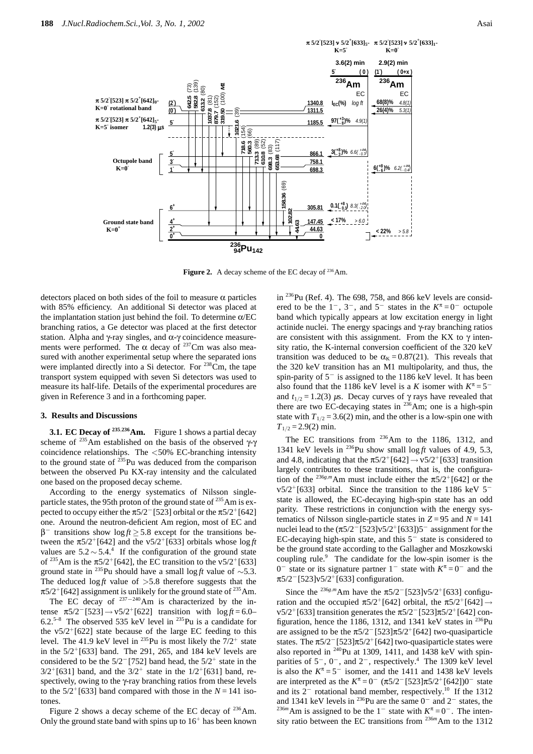

Figure 2. A decay scheme of the EC decay of <sup>236</sup>Am.

detectors placed on both sides of the foil to measure  $\alpha$  particles with 85% efficiency. An additional Si detector was placed at the implantation station just behind the foil. To determine  $\alpha$ /EC branching ratios, a Ge detector was placed at the first detector station. Alpha and  $\gamma$ -ray singles, and  $\alpha$ - $\gamma$  coincidence measurements were performed. The  $\alpha$  decay of <sup>237</sup>Cm was also measured with another experimental setup where the separated ions were implanted directly into a Si detector. For  $^{238}$ Cm, the tape transport system equipped with seven Si detectors was used to measure its half-life. Details of the experimental procedures are given in Reference 3 and in a forthcoming paper.

## **3. Results and Discussions**

**3.1. EC Decay of <sup>235</sup>***,***236Am.** Figure 1 shows a partial decay scheme of <sup>235</sup>Am established on the basis of the observed  $\gamma$ - $\gamma$ coincidence relationships. The *<*50% EC-branching intensity to the ground state of  $^{235}$ Pu was deduced from the comparison between the observed Pu KX-ray intensity and the calculated one based on the proposed decay scheme.

According to the energy systematics of Nilsson singleparticle states, the 95th proton of the ground state of  $^{235}$ Am is expected to occupy either the  $\pi 5/2$ <sup>-</sup>[523] orbital or the  $\pi 5/2$ <sup>+</sup>[642] one. Around the neutron-deficient Am region, most of EC and  $β$ <sup>−</sup> transitions show log *ft*  $≥$  5.8 except for the transitions between the  $\pi 5/2^+$ [642] and the  $v5/2^+$ [633] orbitals whose log *ft* values are  $5.2 \sim 5.4$ .<sup>4</sup> If the configuration of the ground state of <sup>235</sup>Am is the  $π5/2<sup>+</sup>[642]$ , the EC transition to the v5/2<sup>+</sup>[633] ground state in <sup>235</sup>Pu should have a small log ft value of  $\sim$ 5.3. The deduced  $\log ft$  value of  $>5.8$  therefore suggests that the  $\pi$ 5/2<sup>+</sup>[642] assignment is unlikely for the ground state of <sup>235</sup>Am.

The EC decay of  $237-240$ Am is characterized by the intense  $\pi 5/2^-$ [523] →  $v 5/2^+$ [622] transition with  $\log ft = 6.0$ – 6.2.<sup>5–8</sup> The observed 535 keV level in <sup>235</sup>Pu is a candidate for the  $v5/2^{+}$ [622] state because of the large EC feeding to this level. The 41.9 keV level in <sup>235</sup>Pu is most likely the  $7/2^+$  state in the  $5/2^{+}$ [633] band. The 291, 265, and 184 keV levels are considered to be the  $5/2$ <sup>-</sup>[752] band head, the  $5/2$ <sup>+</sup> state in the  $3/2^{+}$ [631] band, and the  $3/2^{+}$  state in the  $1/2^{+}$ [631] band, respectively, owing to the γ-ray branching ratios from these levels to the  $5/2^+$ [633] band compared with those in the  $N = 141$  isotones.

Figure 2 shows a decay scheme of the EC decay of  $^{236}$ Am. Only the ground state band with spins up to  $16<sup>+</sup>$  has been known in  $^{236}$ Pu (Ref. 4). The 698, 758, and 866 keV levels are considered to be the  $1^-, 3^-,$  and  $5^-$  states in the  $K^{\pi} = 0^-$  octupole band which typically appears at low excitation energy in light actinide nuclei. The energy spacings and γ-ray branching ratios are consistent with this assignment. From the KX to  $\gamma$  intensity ratio, the K-internal conversion coefficient of the 320 keV transition was deduced to be  $\alpha_K = 0.87(21)$ . This reveals that the 320 keV transition has an M1 multipolarity, and thus, the spin-parity of 5<sup>−</sup> is assigned to the 1186 keV level. It has been also found that the 1186 keV level is a *K* isomer with  $K^{\pi} = 5^{-}$ and  $t_{1/2} = 1.2(3)$   $\mu$ s. Decay curves of  $\gamma$  rays have revealed that there are two EC-decaying states in  $236$ Am; one is a high-spin state with  $T_{1/2} = 3.6(2)$  min, and the other is a low-spin one with  $T_{1/2} = 2.9(2)$  min.

The EC transitions from <sup>236</sup>Am to the 1186, 1312, and 1341 keV levels in  $^{236}$ Pu show small log ft values of 4.9, 5.3, and 4.8, indicating that the  $\pi 5/2^+$ [642]  $\rightarrow \frac{v5}{2^+}$ [633] transition largely contributes to these transitions, that is, the configuration of the <sup>236*g*,*m*</sup>Am must include either the  $\pi$ 5/2<sup>+</sup>[642] or the  $v5/2+[633]$  orbital. Since the transition to the 1186 keV 5<sup>−</sup> state is allowed, the EC-decaying high-spin state has an odd parity. These restrictions in conjunction with the energy systematics of Nilsson single-particle states in  $Z = 95$  and  $N = 141$ nuclei lead to the  $(π5/2<sup>-</sup> [523]ν5/2<sup>+</sup> [633] )5<sup>-</sup>$  assignment for the EC-decaying high-spin state, and this 5<sup>−</sup> state is considered to be the ground state according to the Gallagher and Moszkowski coupling rule. $9$  The candidate for the low-spin isomer is the 0<sup>−</sup> state or its signature partner 1<sup>−</sup> state with *K*<sup>π</sup> = 0<sup>−</sup> and the π5/2−[523]ν5/2<sup>+</sup>[633] configuration.

Since the <sup>236*g*,*m*</sup>Am have the  $\pi$ 5/2<sup>-</sup>[523]v5/2<sup>+</sup>[633] configuration and the occupied  $\pi 5/2^+[642]$  orbital, the  $\pi 5/2^+[642] \rightarrow$  $v5/2$ <sup>+</sup>[633] transition generates the π5/2<sup>-</sup>[523]π5/2<sup>+</sup>[642] configuration, hence the 1186, 1312, and 1341 keV states in  $^{236}$ Pu are assigned to be the  $\pi 5/2^-$ [523] $\pi 5/2^+$ [642] two-quasiparticle states. The  $\pi$ 5/2<sup>-</sup>[523] $\pi$ 5/2<sup>+</sup>[642] two-quasiparticle states were also reported in  $240$ Pu at 1309, 1411, and 1438 keV with spinparities of 5<sup>-</sup>, 0<sup>-</sup>, and 2<sup>-</sup>, respectively.<sup>4</sup> The 1309 keV level is also the  $K^{\pi} = 5^{-}$  isomer, and the 1411 and 1438 keV levels are interpreted as the  $K^{\pi} = 0^-$  (π5/2<sup>-</sup>[523]π5/2<sup>+</sup>[642])0<sup>-</sup> state and its  $2^-$  rotational band member, respectively.<sup>10</sup> If the 1312 and 1341 keV levels in <sup>236</sup>Pu are the same  $0^-$  and  $2^-$  states, the <sup>236*m*</sup>Am is assigned to be the 1<sup>-</sup> state with  $K^{\pi} = 0^{-}$ . The intensity ratio between the EC transitions from <sup>236*m*</sup>Am to the 1312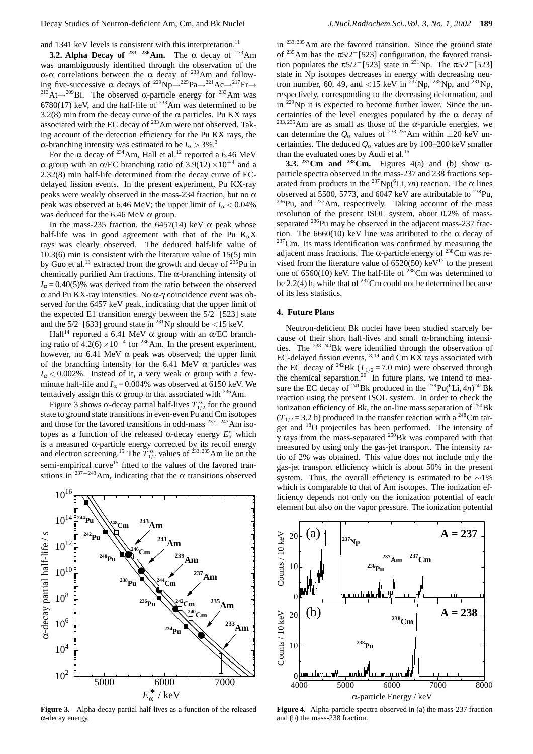and 1341 keV levels is consistent with this interpretation.<sup>11</sup>

**3.2. Alpha Decay of**  $233-236$ **Am.** The  $\alpha$  decay of  $233$ Am was unambiguously identified through the observation of the α-α correlations between the α decay of <sup>233</sup>Am and following five-successive α decays of <sup>229</sup>Np→<sup>225</sup>Pa→<sup>221</sup>Ac→<sup>217</sup>Fr→<br><sup>213</sup>At→<sup>209</sup>Bi. The observed α-particle energy for <sup>233</sup>Am was  $6780(17)$  keV, and the half-life of  $^{233}$ Am was determined to be 3.2(8) min from the decay curve of the  $\alpha$  particles. Pu KX rays associated with the EC decay of 233Am were not observed. Taking account of the detection efficiency for the Pu KX rays, the α-branching intensity was estimated to be *I*<sup>α</sup> *>* 3%.<sup>3</sup>

For the  $\alpha$  decay of <sup>234</sup>Am, Hall et al.<sup>12</sup> reported a 6.46 MeV α group with an α/EC branching ratio of  $3.9(12) \times 10^{-4}$  and a 2.32(8) min half-life determined from the decay curve of ECdelayed fission events. In the present experiment, Pu KX-ray peaks were weakly observed in the mass-234 fraction, but no  $\alpha$ peak was observed at 6.46 MeV; the upper limit of  $I_\alpha < 0.04\%$ was deduced for the 6.46 MeV  $\alpha$  group.

In the mass-235 fraction, the 6457(14) keV  $\alpha$  peak whose half-life was in good agreement with that of the Pu  $K_{\alpha}X$ rays was clearly observed. The deduced half-life value of 10.3(6) min is consistent with the literature value of 15(5) min by Guo et al.<sup>13</sup> extracted from the growth and decay of  $^{235}$ Pu in chemically purified Am fractions. The  $\alpha$ -branching intensity of  $I<sub>\alpha</sub> = 0.40(5)$ % was derived from the ratio between the observed α and Pu KX-ray intensities. No α-γ coincidence event was observed for the 6457 keV peak, indicating that the upper limit of the expected E1 transition energy between the 5/2−[523] state and the  $5/2^{+}$ [633] ground state in <sup>231</sup>Np should be <15 keV.

Hall<sup>14</sup> reported a 6.41 MeV  $\alpha$  group with an  $\alpha$ /EC branching ratio of  $4.2(6) \times 10^{-4}$  for <sup>236</sup>Am. In the present experiment, however, no 6.41 MeV  $\alpha$  peak was observed; the upper limit of the branching intensity for the 6.41 MeV  $\alpha$  particles was  $I<sub>α</sub> < 0.002$ %. Instead of it, a very weak α group with a fewminute half-life and  $I_\alpha$  = 0.004% was observed at 6150 keV. We tentatively assign this  $\alpha$  group to that associated with <sup>236</sup>Am.

Figure 3 shows α-decay partial half-lives  $T_{1/2}^{\alpha}$  for the ground state to ground state transitions in even-even Pu and Cm isotopes and those for the favored transitions in odd-mass <sup>237</sup>−243Am isotopes as a function of the released  $\alpha$ -decay energy  $E^*$ <sub>α</sub> which is a measured α-particle energy corrected by its recoil energy and electron screening.<sup>15</sup> The  $T_{1/2}^{\alpha}$  values of <sup>233, 235</sup>Am lie on the semi-empirical curve<sup>15</sup> fitted to the values of the favored transitions in <sup>237−243</sup>Am, indicating that the  $\alpha$  transitions observed



**Figure 3.** Alpha-decay partial half-lives as a function of the released α-decay energy.

in <sup>233, 235</sup>Am are the favored transition. Since the ground state of <sup>235</sup>Am has the  $\pi$ 5/2<sup>-</sup>[523] configuration, the favored transition populates the  $\pi$ 5/2<sup>-</sup>[523] state in <sup>231</sup>Np. The  $\pi$ 5/2<sup>-</sup>[523] state in Np isotopes decreases in energy with decreasing neutron number, 60, 49, and <15 keV in  $^{237}Np$ ,  $^{235}Np$ , and  $^{231}Np$ , respectively, corresponding to the decreasing deformation, and in  $^{229}$ Np it is expected to become further lower. Since the uncertainties of the level energies populated by the  $\alpha$  decay of <sup>233</sup>*,* 235Am are as small as those of the α-particle energies, we can determine the  $Q_\alpha$  values of <sup>233, 235</sup>Am within  $\pm 20$  keV uncertainties. The deduced  $Q_{\alpha}$  values are by 100–200 keV smaller than the evaluated ones by Audi et al.<sup>16</sup>

**3.3.**  $237 \text{ Cm}$  and  $238 \text{ Cm}$ . Figures 4(a) and (b) show  $\alpha$ particle spectra observed in the mass-237 and 238 fractions separated from products in the <sup>237</sup>Np(<sup>6</sup>Li, *xn*) reaction. The  $\alpha$  lines observed at 5500, 5773, and 6047 keV are attributable to  $^{238}$ Pu,  $^{236}$ Pu, and  $^{237}$ Am, respectively. Taking account of the mass resolution of the present ISOL system, about 0.2% of massseparated <sup>236</sup>Pu may be observed in the adjacent mass-237 fraction. The 6660(10) keV line was attributed to the  $\alpha$  decay of  $237$ Cm. Its mass identification was confirmed by measuring the adjacent mass fractions. The  $\alpha$ -particle energy of <sup>238</sup>Cm was revised from the literature value of  $6520(50)$  keV<sup>17</sup> to the present one of 6560(10) keV. The half-life of  $238$ Cm was determined to be 2.2(4) h, while that of  $^{237}$ Cm could not be determined because of its less statistics.

## **4. Future Plans**

Neutron-deficient Bk nuclei have been studied scarcely because of their short half-lives and small  $\alpha$ -branching intensities. The <sup>238, 240</sup>Bk were identified through the observation of EC-delayed fission events,  $18,19$  and Cm KX rays associated with the EC decay of  $^{242}$ Bk ( $T_{1/2}$  = 7.0 min) were observed through the chemical separation.<sup>20</sup> In future plans, we intend to measure the EC decay of <sup>241</sup>Bk produced in the <sup>239</sup>Pu(<sup>6</sup>Li, 4*n*)<sup>241</sup>Bk reaction using the present ISOL system. In order to check the ionization efficiency of Bk, the on-line mass separation of  $^{250}$ Bk  $(T_{1/2} = 3.2 \text{ h})$  produced in the transfer reaction with a <sup>248</sup>Cm target and 18O projectiles has been performed. The intensity of  $\gamma$  rays from the mass-separated <sup>250</sup>Bk was compared with that measured by using only the gas-jet transport. The intensity ratio of 2% was obtained. This value does not include only the gas-jet transport efficiency which is about 50% in the present system. Thus, the overall efficiency is estimated to be  $\sim$ 1% which is comparable to that of Am isotopes. The ionization efficiency depends not only on the ionization potential of each element but also on the vapor pressure. The ionization potential



**Figure 4.** Alpha-particle spectra observed in (a) the mass-237 fraction and (b) the mass-238 fraction.